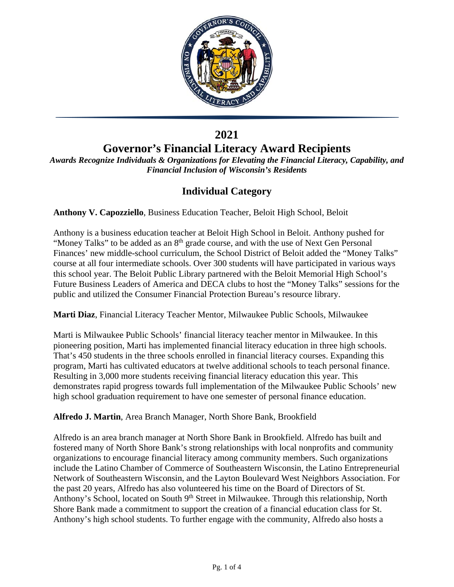

## **2021**

# **Governor's Financial Literacy Award Recipients**

*Awards Recognize Individuals & Organizations for Elevating the Financial Literacy, Capability, and Financial Inclusion of Wisconsin's Residents*

## **Individual Category**

**Anthony V. Capozziello**, Business Education Teacher, Beloit High School, Beloit

Anthony is a business education teacher at Beloit High School in Beloit. Anthony pushed for "Money Talks" to be added as an 8<sup>th</sup> grade course, and with the use of Next Gen Personal Finances' new middle-school curriculum, the School District of Beloit added the "Money Talks" course at all four intermediate schools. Over 300 students will have participated in various ways this school year. The Beloit Public Library partnered with the Beloit Memorial High School's Future Business Leaders of America and DECA clubs to host the "Money Talks" sessions for the public and utilized the Consumer Financial Protection Bureau's resource library.

**Marti Diaz**, Financial Literacy Teacher Mentor, Milwaukee Public Schools, Milwaukee

Marti is Milwaukee Public Schools' financial literacy teacher mentor in Milwaukee. In this pioneering position, Marti has implemented financial literacy education in three high schools. That's 450 students in the three schools enrolled in financial literacy courses. Expanding this program, Marti has cultivated educators at twelve additional schools to teach personal finance. Resulting in 3,000 more students receiving financial literacy education this year. This demonstrates rapid progress towards full implementation of the Milwaukee Public Schools' new high school graduation requirement to have one semester of personal finance education.

**Alfredo J. Martin**, Area Branch Manager, North Shore Bank, Brookfield

Alfredo is an area branch manager at North Shore Bank in Brookfield. Alfredo has built and fostered many of North Shore Bank's strong relationships with local nonprofits and community organizations to encourage financial literacy among community members. Such organizations include the Latino Chamber of Commerce of Southeastern Wisconsin, the Latino Entrepreneurial Network of Southeastern Wisconsin, and the Layton Boulevard West Neighbors Association. For the past 20 years, Alfredo has also volunteered his time on the Board of Directors of St. Anthony's School, located on South 9<sup>th</sup> Street in Milwaukee. Through this relationship, North Shore Bank made a commitment to support the creation of a financial education class for St. Anthony's high school students. To further engage with the community, Alfredo also hosts a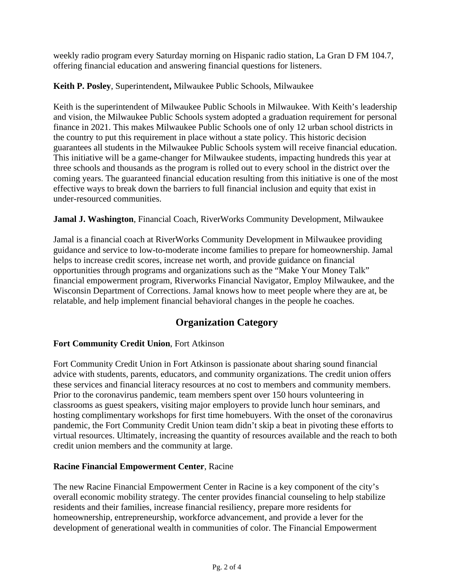weekly radio program every Saturday morning on Hispanic radio station, La Gran D FM 104.7, offering financial education and answering financial questions for listeners.

**Keith P. Posley**, Superintendent**,** Milwaukee Public Schools, Milwaukee

Keith is the superintendent of Milwaukee Public Schools in Milwaukee. With Keith's leadership and vision, the Milwaukee Public Schools system adopted a graduation requirement for personal finance in 2021. This makes Milwaukee Public Schools one of only 12 urban school districts in the country to put this requirement in place without a state policy. This historic decision guarantees all students in the Milwaukee Public Schools system will receive financial education. This initiative will be a game-changer for Milwaukee students, impacting hundreds this year at three schools and thousands as the program is rolled out to every school in the district over the coming years. The guaranteed financial education resulting from this initiative is one of the most effective ways to break down the barriers to full financial inclusion and equity that exist in under-resourced communities.

**Jamal J. Washington**, Financial Coach, RiverWorks Community Development, Milwaukee

Jamal is a financial coach at RiverWorks Community Development in Milwaukee providing guidance and service to low-to-moderate income families to prepare for homeownership. Jamal helps to increase credit scores, increase net worth, and provide guidance on financial opportunities through programs and organizations such as the "Make Your Money Talk" financial empowerment program, Riverworks Financial Navigator, Employ Milwaukee, and the Wisconsin Department of Corrections. Jamal knows how to meet people where they are at, be relatable, and help implement financial behavioral changes in the people he coaches.

## **Organization Category**

### **Fort Community Credit Union**, Fort Atkinson

Fort Community Credit Union in Fort Atkinson is passionate about sharing sound financial advice with students, parents, educators, and community organizations. The credit union offers these services and financial literacy resources at no cost to members and community members. Prior to the coronavirus pandemic, team members spent over 150 hours volunteering in classrooms as guest speakers, visiting major employers to provide lunch hour seminars, and hosting complimentary workshops for first time homebuyers. With the onset of the coronavirus pandemic, the Fort Community Credit Union team didn't skip a beat in pivoting these efforts to virtual resources. Ultimately, increasing the quantity of resources available and the reach to both credit union members and the community at large.

#### **Racine Financial Empowerment Center**, Racine

The new Racine Financial Empowerment Center in Racine is a key component of the city's overall economic mobility strategy. The center provides financial counseling to help stabilize residents and their families, increase financial resiliency, prepare more residents for homeownership, entrepreneurship, workforce advancement, and provide a lever for the development of generational wealth in communities of color. The Financial Empowerment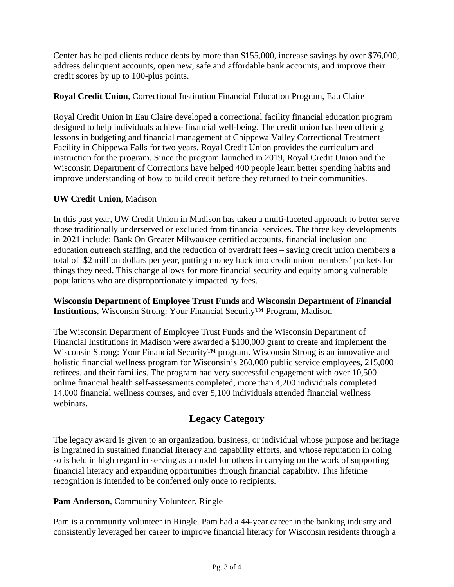Center has helped clients reduce debts by more than \$155,000, increase savings by over \$76,000, address delinquent accounts, open new, safe and affordable bank accounts, and improve their credit scores by up to 100-plus points.

#### **Royal Credit Union**, Correctional Institution Financial Education Program, Eau Claire

Royal Credit Union in Eau Claire developed a correctional facility financial education program designed to help individuals achieve financial well-being. The credit union has been offering lessons in budgeting and financial management at Chippewa Valley Correctional Treatment Facility in Chippewa Falls for two years. Royal Credit Union provides the curriculum and instruction for the program. Since the program launched in 2019, Royal Credit Union and the Wisconsin Department of Corrections have helped 400 people learn better spending habits and improve understanding of how to build credit before they returned to their communities.

#### **UW Credit Union**, Madison

In this past year, UW Credit Union in Madison has taken a multi-faceted approach to better serve those traditionally underserved or excluded from financial services. The three key developments in 2021 include: Bank On Greater Milwaukee certified accounts, financial inclusion and education outreach staffing, and the reduction of overdraft fees – saving credit union members a total of \$2 million dollars per year, putting money back into credit union members' pockets for things they need. This change allows for more financial security and equity among vulnerable populations who are disproportionately impacted by fees.

**Wisconsin Department of Employee Trust Funds** and **Wisconsin Department of Financial Institutions**, Wisconsin Strong: Your Financial Security™ Program, Madison

The Wisconsin Department of Employee Trust Funds and the Wisconsin Department of Financial Institutions in Madison were awarded a \$100,000 grant to create and implement the Wisconsin Strong: Your Financial Security™ program. Wisconsin Strong is an innovative and holistic financial wellness program for Wisconsin's 260,000 public service employees, 215,000 retirees, and their families. The program had very successful engagement with over 10,500 online financial health self-assessments completed, more than 4,200 individuals completed 14,000 financial wellness courses, and over 5,100 individuals attended financial wellness webinars.

### **Legacy Category**

The legacy award is given to an organization, business, or individual whose purpose and heritage is ingrained in sustained financial literacy and capability efforts, and whose reputation in doing so is held in high regard in serving as a model for others in carrying on the work of supporting financial literacy and expanding opportunities through financial capability. This lifetime recognition is intended to be conferred only once to recipients.

#### **Pam Anderson**, Community Volunteer, Ringle

Pam is a community volunteer in Ringle. Pam had a 44-year career in the banking industry and consistently leveraged her career to improve financial literacy for Wisconsin residents through a